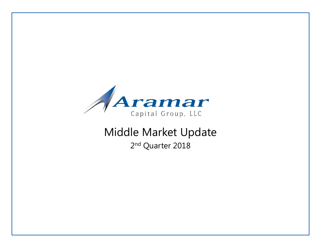

# Middle Market Update 2<sup>nd</sup> Quarter 2018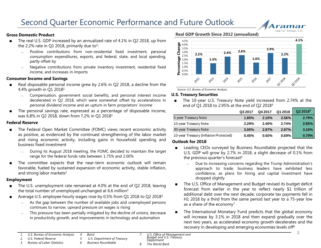### **Gross Domestic Product**

- The real U.S. GDP increased by an annualized rate of 4.1% in Q2 2018, up from the 2.2% rate in Q1 2018, primarily due to<sup>1</sup>:
	- Positive contributions from non-residential fixed investment, personal consumption expenditures, exports, and federal, state, and local spending, partly offset by
	- ― Negative contributions from private inventory investment, residential fixed income, and increases in imports

#### **Consumer Income and Savings**

- Real disposable personal income grew by 2.6% in Q2 2018, a decline from the 4.4% growth in Q1 2018<sup>1</sup>
	- ― Compensation, government social benefits, and personal interest income decelerated in Q2 2018, which were somewhat offset by accelerations in personal dividend income and an upturn in farm proprietors' income
- The personal savings rate, expressed as a percentage of disposable income, was 6.8% in Q2 2018, down from 7.2% in Q1 2018<sup>1</sup>

#### **Federal Reserve**

- The Federal Open Market Committee (FOMC) views recent economic activity as positive, as evidenced by the continued strengthening of the labor market and rising economic activity, including gains in household spending and business fixed investment
	- ― During its August 2018 meeting, the FOMC decided to maintain the target range for the federal funds rate between 1.75% and 2.00%
- The committee expects that the near-term economic outlook will remain favorable, fueled by sustained expansion of economic activity, stable inflation, and strong labor markets<sup>2</sup>

#### **Employment**

- The U.S. unemployment rate remained at 4.0% at the end of Q2 2018, leaving the total number of unemployed unchanged at 6.6 million<sup>3</sup>
- Average U.S. employee hourly wages rose by 0.5% from Q1 2018 to Q2 2018<sup>3</sup>
	- As the gap between the number of available jobs and unemployed persons continues to narrow, upward pressure on wages is rising
	- This pressure has been partially mitigated by the decline of unions, decrease in productivity growth, and improvements in technology and automation

**Real GDP Growth Since 2012 (annualized)**



rama Capital Group, LLC

*Source: U.S. Bureau of Economic Analysis* 

### **U.S. Treasury Securities**

The 10-year U.S. Treasury Note yield increased from 2.74% at the end of Q1 2018 to 2.95% at the end of Q2 2018<sup>4</sup>

|                                        | Q3 2017  | Q4 2017 | Q1 2018  | $Q22018^5$ |
|----------------------------------------|----------|---------|----------|------------|
| 5-year Treasury Note                   | 1.85%    | 2.10%   | 2.56%    | 2.79%      |
| 10-year Treasury Note                  | 2.29%    | 2.40%   | 2.74%    | 2.95%      |
| 30-year Treasury Note                  | $3.00\%$ | 2.97%   | 2.97%    | 3.16%      |
| 10-year Treasury (Inflation Protected) | 0.45%    | 0.50%   | $0.69\%$ | $0.79\%$   |

#### **Outlook for 2018**

- Leading CEOs surveyed by Business Roundtable projected that the U.S. GDP will grow by 2.7% in 2018, a slight decrease of 0.1% from the previous quarter's forecast $6$ 
	- ― Due to increasing concerns regarding the Trump Administration's approach to trade, business leaders have exhibited less confidence, as plans for hiring and capital investment have dropped slightly
- The U.S. Office of Management and Budget revised its budget deficit forecast from earlier in the year to reflect nearly \$1 trillion of additional debt over the next decade; corporate tax payments fell in H1 2018 by a third from the same period last year to a 75-year low as a share of the economy<sup>7</sup>
- The International Monetary Fund predicts that the global economy will increase by 3.1% in 2018 and then expand gradually over the next two years, as accelerated economy growth decelerates and the recovery in developing and emerging economies levels off<sup>8</sup>

- *3. Bureau of Labor Statistics*
- *5. U.S. Department of Treasury*
- 
- *6. Business Roundtable*
- *7. U.S. Office of Management and Budget and U.S. Treasury Department*
- *8. The World Bank*

*<sup>1.</sup> U.S. Bureau of Economic Analysis 4. Baird*

*<sup>2.</sup> U.S. Federal Reserve*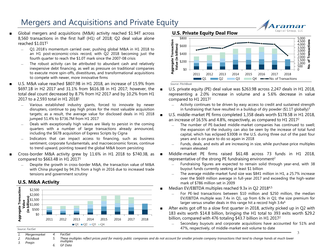# Mergers and Acquisitions and Private Equity Mergers and Acquisitions and Private Equity

- Global mergers and acquisitions (M&A) activity reached \$1.94T across 8,560 transactions in the first half (H1) of 2018; Q2 deal value alone reached \$1.01T 1
	- ― Q1 2018's momentum carried over, pushing global M&A in H1 2018 to an H1 post-economic-crisis record, with Q2 2018 becoming just the fourth quarter to reach the \$1.0T mark since the 2007-08 crisis
	- The robust activity can be attributed to abundant cash and relatively inexpensive debt financing, as well as pressure on traditional companies to execute more spin-offs, divestitures, and transformational acquisitions to compete with newer, more innovative firms
- U.S. M&A value reached \$807.9B in H1 2018, an increase of 15.9% from \$697.1B in H2 2017 and 31.1% from \$616.3B in H1 2017; however, the total deal count decreased by 8.7% from H2 2017 and by 10.2% from H1 2017 to a 2,593 total in H1 2018<sup>1</sup>
	- Various established industry giants, forced to innovate by newer disrupters, continue to pay high prices for the most valuable acquisition targets; as a result, the average value for disclosed deals in H1 2018 jumped 51.4% to \$736.7M from H1 2017
	- Deals with exceptionally high values are likely to persist in the coming quarters with a number of large transactions already announced, including the \$67B acquisition of Express Scripts by Cigna
	- Indicators that can impact access to financing, such as business sentiment, corporate fundamentals, and macroeconomic forces, continue to trend upward, pointing toward the global M&A boom persisting
- Cross-border M&A activity grew by 11.6% in H1 2018 to \$740.3B, as compared to \$663.4B in H1 2017<sup>1</sup>
	- Despite the growth in cross-border M&A, the transaction value of M&A with China plunged by 94.3% from a high in 2016 due to increased trade tensions and government scrutiny

# **U.S. M&A Activity**





ramar

*Source: PitchBook*

- U.S. private equity (PE) deal value was \$263.9B across 2,247 deals in H1 2018, representing a 2.0% increase in volume and a 5.6% decrease in value compared to H1 2017<sup>2</sup>
	- ― Activity continues to be driven by easy access to credit and sustained strength in fundraising that have resulted in a buildup of dry powder (\$1.1T globally)<sup>3</sup>
- U.S. middle-market PE firms completed 1,358 deals worth \$178.5B in H1 2018, an increase of 16.5% and 4.8%, respectively, as compared to H1 2017<sup>2</sup>
	- ― The number of PE-backed middle-market companies has continued to swell; the expansion of the industry can also be seen by the increase of total fund capital, which has eclipsed \$300B in the U.S. during three out of the past four years and is on pace to do so again in 2018
	- ― Funds, deals, and exits all are increasing in size, while purchase-price multiples remain elevated

Middle-market PE firms raised \$61.4B across 73 funds in H1 2018, representative of the strong PE fundraising environment<sup>2</sup>

- Fundraising figures are expected to remain solid through year-end, with 38 buyout funds currently seeking at least \$1 billion
- The average middle-market fund size was \$841 million in H1, a 25.7% increase over the \$669 million average in full-year 2017 and exceeding the high-water mark of \$786 million set in 2009
- Median EV/EBITDA multiples reached 9.3x in Q2 2018<sup>4,5</sup>
	- ― For PE-led transactions between \$10 million and \$250 million, the median EV/EBITDA multiple was 7.4x in Q1, up from 6.9x in Q1; the size premium for larger versus smaller deals in this range hit a record high 3.4x<sup>6</sup>
- After exits got off to a slow first quarter in 2018, activity picked up in Q2 with 183 exits worth \$14.8 billion, bringing the H1 total to 393 exits worth \$29.2 billion, compared with 476 totaling \$43.7 billion in H1 2017<sup>2</sup>
	- 3 ― Secondary buyouts and corporate acquisitions have accounted for 51% and 47%, respectively, of middle-market exit volume to date

*Source: FactSet*

- *1. Mergermarket 4. FactSet*
- *2. PitchBook 5. These multiples reflect prices paid for mainly public companies and do not account for smaller private company transactions that tend to change hands at much lower multiples*

*3. Preqin*

*6. GF Data*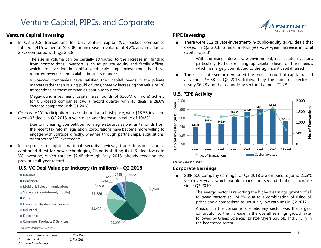# **Venture Capital Investing**

- In Q2 2018, transactions for U.S. venture capital (VC)-backed companies totaled 1,416 valued at \$23.0B, an increase in volume of 9.2% and in value of 2.7% compared with Q1 2018<sup>1</sup>
	- The rise in volume can be partially attributed to the increase in funding from nontraditional investors, such as private equity and family offices, which are investing in sophisticated early-stage investments that have reported revenues and scalable business models<sup>2</sup>
	- ― VC-backed companies have satisfied their capital needs in the private markets rather than raising public funds, thereby increasing the value of VC transactions as these companies continue to grow<sup>2</sup>
	- ― Mega-round investment (capital raise rounds of \$100M or more) activity for U.S.-based companies saw a record quarter with 45 deals, a 28.6% increase compared with Q1 2018<sup>1</sup>
- Corporate VC participation has continued at a brisk pace, with \$13.5B invested over 403 deals in Q2 2018, a year-over-year increase in value of 104%<sup>2</sup>
	- Due to increasing competition from agile startups as well as tailwinds from the recent tax reform legislation, corporations have become more willing to engage with startups directly, whether through partnerships, acquisitions, or corporate VC investments
- In response to tighter national security reviews, trade tensions, and a continued thirst for new technologies, China is shifting its U.S. deal focus to VC investing, which totaled \$2.4B through May 2018, already reaching the previous full-year record<sup>3</sup>

# **U.S. VC Deal Value per Industry (in millions) – Q2 2018**



- There were 312 private-investment-in-public-equity (PIPE) deals that closed in Q2 2018, almost a 40% year-over-year increase in total capital raised<sup>4</sup>
	- ― With the rising interest rate environment, real estate investors, particularly REITs, are lining up capital ahead of their needs, which has largely contributed to the significant capital raised
- The real estate sector generated the most amount of capital raised at almost \$6.5B in Q2 2018, followed by the industrial sector at nearly \$6.2B and the technology sector at almost \$2.2B 4



### **U.S. PIPE Activity**

*Source: DealFlow Report*

# **Corporate Earnings**

- S&P 500 company earnings for Q2 2018 are on pace to jump 21.3% year-over-year, which would mark the second highest increase since O<sub>3</sub> 2010<sup>5</sup>
	- The energy sector is reporting the highest earnings growth of all followed sectors at 124.3%, due to a combination of rising oil prices and a comparison to unusually low earnings in Q2 2017
	- ― Amazon in the consumer discretionary sector was the largest contributor to the increase in the overall earnings growth rate, followed by Gilead Sciences, Bristol-Myers Squibb, and Eli Lilly in the healthcare sector

*3. Rhodium Group*



**PIPE Investing**

*<sup>1.</sup> PricewaterhouseCoopers 4. The Deal*

*<sup>2.</sup> PitchBook 5. FactSet*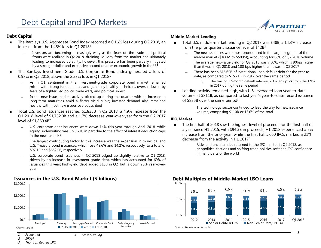## **Debt Capital**

- The Barclays U.S. Aggregate Bond Index recorded a 0.16% loss during Q2 2018, an increase from the 1.46% loss in Q1 2018<sup>1</sup>
	- ― Investors are becoming increasingly wary as the fears on the trade and political fronts were realized in Q2 2018, draining liquidity from the market and ultimately leading to increased volatility; however, this pressure has been partially mitigated by a stronger dollar and expansive second quarter economic growth in the U.S.
- The Barclays Investment Grade U.S. Corporate Bond Index generated a loss of 0.98% in Q2 2018, above the 2.23% loss in Q1 2018<sup>1</sup>
	- As in Q1, sentiment in the investment-grade corporate bond market remained mixed with strong fundamentals and generally healthy technicals, overshadowed by fears of a tighter Fed policy, trade wars, and political unrest
	- In the new issue market, activity picked up during the quarter with an increase in long-term maturities amid a flatter yield curve; investor demand also remained healthy with most new issues oversubscribed
- Total U.S. bond issuances reached \$1,838B in Q2 2018, a 4.9% increase from the Q1 2018 level of \$1,752.0B and a 1.7% decrease year-over-year from the Q2 2017 level of \$1,869.4B 2
	- U.S. corporate debt issuances were down 14% this year through April 2018, while equity underwriting was up 3.2%, in part due to the effect of interest deduction caps in the new tax bill<sup>23</sup>
	- The largest contributing factor to this increase was the expansion in municipal and U.S. Treasury bond issuances, which rose 49.6% and 14.2%, respectively, to a total of \$97.1B and \$662.5B, respectively
	- U.S. corporate bond issuances in Q2 2018 edged up slightly relative to Q1 2018, driven by an increase in investment-grade debt, which has accounted for 69% of issuances this year; high-yield debt added \$15B in Q2, but is down 28% year-overyear



# **Issuances in the U.S. Bond Market (\$ billions)**

#### **Middle-Market Lending**

- Total U.S. middle-market lending in Q2 2018 was \$48B, a 14.3% increase from the prior quarter's issuance level of \$42B<sup>3</sup>
	- ― The new issuances were most pronounced in the larger segment of the middle market (\$100M to \$500M), accounting for 86% of Q2 2018 volume
	- The average new-issue yield for Q2 2018 was 7.50%, which is 90bps higher than it was in Q1 2018 and 100 bps higher than it was in Q2 2017
	- There has been \$16.65B of institutional loan default debt for the year to date, as compared to \$15.21B in 2017 over the same period
		- o The trailing 12-month default rate was 2.3%, an uptick from the 1.9% in 2017 during the same period
- Lending activity remained high, with U.S. leveraged loan year-to-date volume at \$811B, as compared to last year's year-to-date record issuance of \$835B over the same period<sup>3</sup>
	- The technology sector continued to lead the way for new issuance volume, comprising \$110B or 13.6% of the total

#### **IPO Market**

- The first half of 2018 saw the highest level of proceeds for the first half of a year since H1 2015, with \$94.3B in proceeds; H1 2018 experienced a 5% increase from the prior year, while the first half's 660 IPOs marked a 21% decrease from the activity in H1 2017<sup>4</sup>
	- Risks and uncertainties returned to the IPO market in Q2 2018, as geopolitical frictions and shifting trade policies softened IPO confidence in many parts of the world



### **Debt Multiples of Middle-Market LBO Loans**

*2. SIFMA*

*3. Thomson Reuters LPC*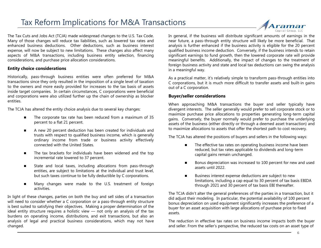# Tax Reform Implications for M&A Transactions

The Tax Cuts and Jobs Act (TCJA) made widespread changes to the U.S. Tax Code. Many of those changes will reduce tax liabilities, such as lowered tax rates and enhanced business deductions. Other deductions, such as business interest expense, will now be subject to new limitations. These changes also affect many aspects of M&A transactions, including business entity selection, financing considerations, and purchase price allocation considerations.

# **Entity choice considerations**

Historically, pass-through business entities were often preferred for M&A transactions since they only resulted in the imposition of a single level of taxation to the owners and more easily provided for increases to the tax basis of assets inside target companies. In certain circumstances, C corporations were beneficial and corporations were also utilized further up the chain of ownership as blocker entities.

The TCJA has altered the entity choice analysis due to several key changes:

- The corporate tax rate has been reduced from a maximum of 35 percent to a flat 21 percent.
- A new 20 percent deduction has been created for individuals and trusts with respect to qualified business income, which is generally ordinary income from trade or business activity effectively connected with the United States.
- The tax brackets for individuals have been widened and the top incremental rate lowered to 37 percent.
- State and local taxes, including allocations from pass-through entities, are subject to limitations at the individual and trust level, but such taxes continue to be fully deductible by C corporations.
- Many changes were made to the U.S. treatment of foreign activities.

In light of these changes, parties on both the buy and sell sides of a transaction will need to consider whether a C corporation or a pass-through entity structure is best suited to satisfying their objectives. Making a proper determination of the ideal entity structure requires a holistic view — not only an analysis of the tax burdens on operating income, distributions, and exit transactions, but also an analysis of legal and practical business considerations, which may not have changed.

In general, if the business will distribute significant amounts of earnings in the near future, a pass-through entity structure will likely be more beneficial. That analysis is further enhanced if the business activity is eligible for the 20 percent qualified business income deduction. Conversely, if the business intends to retain significant earnings to fund growth, then the lowered corporate rate will provide meaningful benefits. Additionally, the impact of changes to the treatment of foreign business activity and state and local tax deductions can swing the analysis in a meaningful way.

As a practical matter, it's relatively simple to transform pass-through entities into C corporations, but it is much more difficult to transfer assets and built-in gains out of a C corporation.

#### **Buyer/seller considerations**

When approaching M&A transactions the buyer and seller typically have divergent interests. The seller generally would prefer to sell corporate stock or to maximize purchase price allocations to properties generating long-term capital gains. Conversely, the buyer normally would prefer to purchase the underlying assets of the business (either directly or through a deemed asset transaction) and to maximize allocations to assets that offer the shortest path to cost recovery.

The TCJA has altered the positions of buyers and sellers in the following ways:

- The effective tax rates on operating business income have been reduced, but tax rates applicable to dividends and long-term capital gains remain unchanged.
- Bonus depreciation was increased to 100 percent for new and used assets until 2022.
- Business interest expense deductions are subject to new limitations, including a cap equal to 30 percent of tax basis EBIDA through 2021 and 30 percent of tax basis EBI thereafter.

The TCJA didn't alter the general preferences of the parties in a transaction, but it did adjust their modeling. In particular, the potential availability of 100 percent bonus depreciation on used equipment significantly increases the preference of a buyer for an asset acquisition with large allocations of purchase price to fixed assets.

The reduction in effective tax rates on business income impacts both the buyer and seller. From the seller's perspective, the reduced tax costs on an asset type of

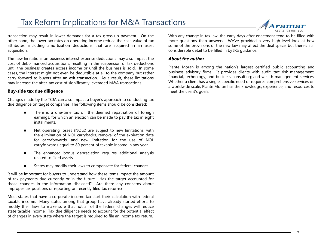# Tax Reform Implications for M&A Transactions



transaction may result in lower demands for a tax gross-up payment. On the other hand, the lower tax rates on operating income reduce the cash value of tax attributes, including amortization deductions that are acquired in an asset acquisition.

The new limitations on business interest expense deductions may also impact the cost of debt-financed acquisitions, resulting in the suspension of tax deductions until the business creates excess income or until the business is sold. In some cases, the interest might not even be deductible at all to the company but rather carry forward to buyers after an exit transaction. As a result, these limitations may increase the after-tax cost of significantly leveraged M&A transactions.

### **Buy-side tax due diligence**

Changes made by the TCJA can also impact a buyer's approach to conducting tax due diligence on target companies. The following items should be considered:

- There is a one-time tax on the deemed repatriation of foreign earnings, for which an election can be made to pay the tax in eight installments.
- Net operating losses (NOLs) are subject to new limitations, with the elimination of NOL carrybacks, removal of the expiration date for carryforwards, and new limitation for the use of NOL carryforwards equal to 80 percent of taxable income in any year.
- The enhanced bonus depreciation requires additional analysis related to fixed assets.
- States may modify their laws to compensate for federal changes.

It will be important for buyers to understand how these items impact the amount of tax payments due currently or in the future. Has the target accounted for those changes in the information disclosed? Are there any concerns about improper tax positions or reporting on recently filed tax returns?

Most states that have a corporate income tax start their calculation with federal taxable income. Many states among that group have already started efforts to modify their laws to make sure that not all of the federal changes will reduce state taxable income. Tax due diligence needs to account for the potential effect of changes in every state where the target is required to file an income tax return.

With any change in tax law, the early days after enactment tend to be filled with more questions than answers. We've provided a very high-level look at how some of the provisions of the new law may affect the deal space, but there's still considerable detail to be filled in by IRS guidance.

#### *About the author*

Plante Moran is among the nation's largest certified public accounting and business advisory firms. It provides clients with audit; tax; risk management; financial, technology, and business consulting; and wealth management services. Whether a client has a single, specific need or requires comprehensive services on a worldwide scale, Plante Moran has the knowledge, experience, and resources to meet the client's goals.